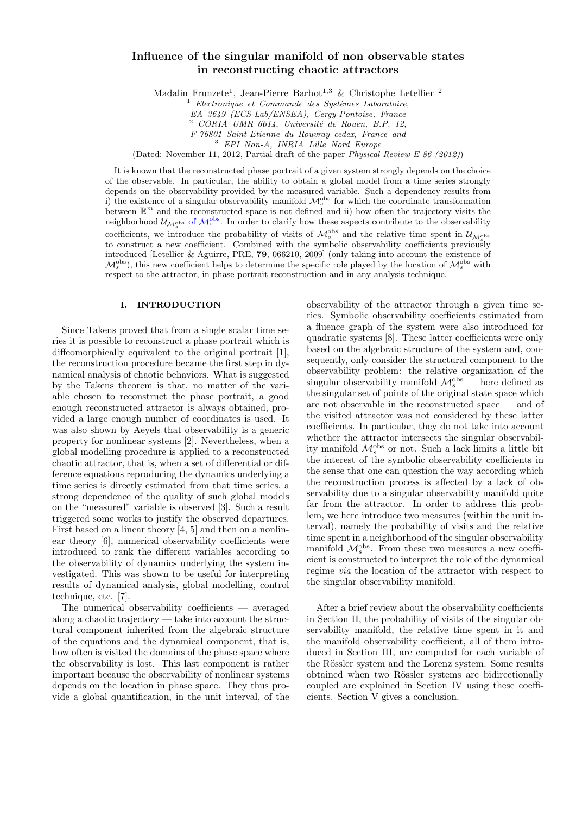# Influence of the singular manifold of non observable states in reconstructing chaotic attractors

Madalin Frunzete<sup>1</sup>, Jean-Pierre Barbot<sup>1,3</sup> & Christophe Letellier<sup>2</sup>

 $1$  Electronique et Commande des Systèmes Laboratoire,

EA 3649 (ECS-Lab/ENSEA), Cergy-Pontoise, France

 $2$  CORIA UMR 6614, Université de Rouen, B.P. 12,

F-76801 Saint-Etienne du Rouvray cedex, France and

<sup>3</sup> EPI Non-A, INRIA Lille Nord Europe

(Dated: November 11, 2012, Partial draft of the paper Physical Review E 86 (2012))

It is known that the reconstructed phase portrait of a given system strongly depends on the choice of the observable. In particular, the ability to obtain a global model from a time series strongly depends on the observability provided by the measured variable. Such a dependency results from<br>i) the existence of a singular observability manifold  $\mathcal{M}_s^{obs}$  for which the coordinate transformation between  $\mathbb{R}^m$  and the reconstructed space is not defined and ii) how often the trajectory visits the neighborhood  $\mathcal{U}_{\mathcal{M}_s^{\text{obs}}}$  of  $\mathcal{M}_s^{\text{obs}}$ . In order to clarify how these aspects contribute to the observability coefficients, we introduce the probability of visits of  $\mathcal{M}_s^{\text{obs}}$  and the relative time spent in  $\mathcal{U}_{\mathcal{M}_s^{\text{obs}}}$ to construct a new coefficient. Combined with the symbolic observability coefficients previously introduced [Letellier & Aguirre, PRE, 79, 066210, 2009] (only taking into account the existence of  $\mathcal{M}_s^{\text{obs}}$ ), this new coefficient helps to determine the specific role played by the location of  $\mathcal{M}_s^{\text{obs}}$  with respect to the attractor, in phase portrait reconstruction and in any analysis technique.

### I. INTRODUCTION

Since Takens proved that from a single scalar time series it is possible to reconstruct a phase portrait which is diffeomorphically equivalent to the original portrait [1], the reconstruction procedure became the first step in dynamical analysis of chaotic behaviors. What is suggested by the Takens theorem is that, no matter of the variable chosen to reconstruct the phase portrait, a good enough reconstructed attractor is always obtained, provided a large enough number of coordinates is used. It was also shown by Aeyels that observability is a generic property for nonlinear systems [2]. Nevertheless, when a global modelling procedure is applied to a reconstructed chaotic attractor, that is, when a set of differential or difference equations reproducing the dynamics underlying a time series is directly estimated from that time series, a strong dependence of the quality of such global models on the "measured" variable is observed [3]. Such a result triggered some works to justify the observed departures. First based on a linear theory [4, 5] and then on a nonlinear theory [6], numerical observability coefficients were introduced to rank the different variables according to the observability of dynamics underlying the system investigated. This was shown to be useful for interpreting results of dynamical analysis, global modelling, control technique, etc. [7].

The numerical observability coefficients — averaged along a chaotic trajectory — take into account the structural component inherited from the algebraic structure of the equations and the dynamical component, that is, how often is visited the domains of the phase space where the observability is lost. This last component is rather important because the observability of nonlinear systems depends on the location in phase space. They thus provide a global quantification, in the unit interval, of the

observability of the attractor through a given time series. Symbolic observability coefficients estimated from a fluence graph of the system were also introduced for quadratic systems [8]. These latter coefficients were only based on the algebraic structure of the system and, consequently, only consider the structural component to the observability problem: the relative organization of the singular observability manifold  $\mathcal{M}_s^{\text{obs}}$  — here defined as the singular set of points of the original state space which are not observable in the reconstructed space — and of the visited attractor was not considered by these latter coefficients. In particular, they do not take into account whether the attractor intersects the singular observability manifold  $\mathcal{M}_s^{\text{obs}}$  or not. Such a lack limits a little bit the interest of the symbolic observability coefficients in the sense that one can question the way according which the reconstruction process is affected by a lack of observability due to a singular observability manifold quite far from the attractor. In order to address this problem, we here introduce two measures (within the unit interval), namely the probability of visits and the relative time spent in a neighborhood of the singular observability manifold  $\mathcal{M}_s^{\text{obs}}$ . From these two measures a new coefficient is constructed to interpret the role of the dynamical regime via the location of the attractor with respect to the singular observability manifold.

After a brief review about the observability coefficients in Section II, the probability of visits of the singular observability manifold, the relative time spent in it and the manifold observability coefficient, all of them introduced in Section III, are computed for each variable of the Rössler system and the Lorenz system. Some results obtained when two Rössler systems are bidirectionally coupled are explained in Section IV using these coefficients. Section V gives a conclusion.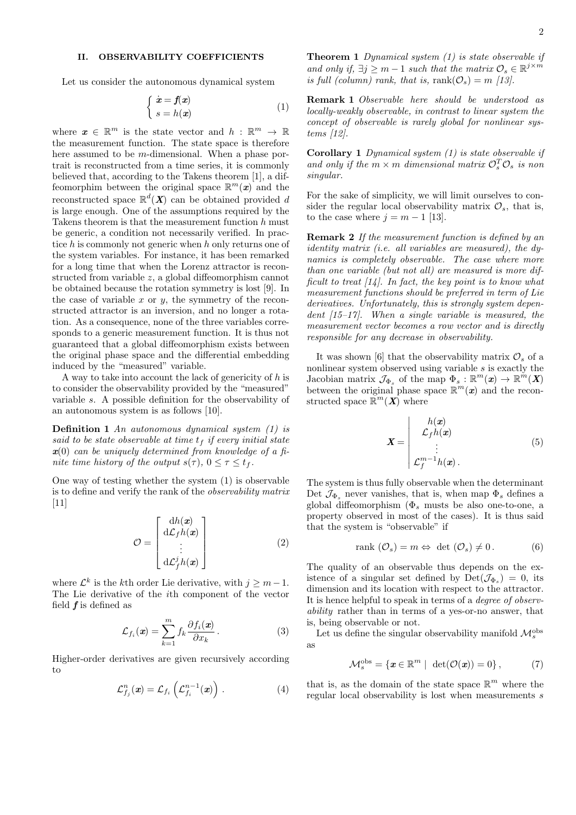## II. OBSERVABILITY COEFFICIENTS

Let us consider the autonomous dynamical system

$$
\begin{cases} \dot{x} = f(x) \\ s = h(x) \end{cases} \tag{1}
$$

where  $\boldsymbol{x} \in \mathbb{R}^m$  is the state vector and  $h : \mathbb{R}^m \to \mathbb{R}$ the measurement function. The state space is therefore here assumed to be m-dimensional. When a phase portrait is reconstructed from a time series, it is commonly believed that, according to the Takens theorem [1], a diffeomorphim between the original space  $\mathbb{R}^m(\boldsymbol{x})$  and the reconstructed space  $\mathbb{R}^d(X)$  can be obtained provided d is large enough. One of the assumptions required by the Takens theorem is that the measurement function h must be generic, a condition not necessarily verified. In practice h is commonly not generic when h only returns one of the system variables. For instance, it has been remarked for a long time that when the Lorenz attractor is reconstructed from variable z, a global diffeomorphism cannot be obtained because the rotation symmetry is lost [9]. In the case of variable  $x$  or  $y$ , the symmetry of the reconstructed attractor is an inversion, and no longer a rotation. As a consequence, none of the three variables corresponds to a generic measurement function. It is thus not guaranteed that a global diffeomorphism exists between the original phase space and the differential embedding induced by the "measured" variable.

A way to take into account the lack of genericity of  $h$  is to consider the observability provided by the "measured" variable s. A possible definition for the observability of an autonomous system is as follows [10].

Definition 1 An autonomous dynamical system (1) is said to be state observable at time  $t_f$  if every initial state  $x(0)$  can be uniquely determined from knowledge of a finite time history of the output  $s(\tau)$ ,  $0 \leq \tau \leq t_f$ .

One way of testing whether the system (1) is observable is to define and verify the rank of the observability matrix  $[11]$ 

$$
\mathcal{O} = \begin{bmatrix} dh(\mathbf{x}) \\ d\mathcal{L}_f h(\mathbf{x}) \\ \vdots \\ d\mathcal{L}_f^j h(\mathbf{x}) \end{bmatrix}
$$
 (2)

where  $\mathcal{L}^k$  is the k<sup>th</sup> order Lie derivative, with  $j \geq m-1$ . The Lie derivative of the ith component of the vector field  $f$  is defined as

$$
\mathcal{L}_{f_i}(\mathbf{x}) = \sum_{k=1}^m f_k \frac{\partial f_i(\mathbf{x})}{\partial x_k} \,. \tag{3}
$$

Higher-order derivatives are given recursively according to

$$
\mathcal{L}_{f_j}^n(\boldsymbol{x}) = \mathcal{L}_{f_i}\left(\mathcal{L}_{f_i}^{n-1}(\boldsymbol{x})\right).
$$
 (4)

**Theorem 1** Dynamical system  $(1)$  is state observable if and only if,  $\exists j \geq m-1$  such that the matrix  $\mathcal{O}_s \in \mathbb{R}^{j \times m}$ is full (column) rank, that is,  $rank(\mathcal{O}_s) = m$  [13].

Remark 1 Observable here should be understood as locally-weakly observable, in contrast to linear system the concept of observable is rarely global for nonlinear systems [12].

Corollary 1 Dynamical system (1) is state observable if and only if the  $m \times m$  dimensional matrix  $\mathcal{O}_s^T \mathcal{O}_s$  is non singular.

For the sake of simplicity, we will limit ourselves to consider the regular local observability matrix  $\mathcal{O}_s$ , that is, to the case where  $j = m - 1$  [13].

Remark 2 If the measurement function is defined by an identity matrix (i.e. all variables are measured), the dynamics is completely observable. The case where more than one variable (but not all) are measured is more difficult to treat  $\lceil 14 \rceil$ . In fact, the key point is to know what measurement functions should be preferred in term of Lie derivatives. Unfortunately, this is strongly system dependent [15–17]. When a single variable is measured, the measurement vector becomes a row vector and is directly responsible for any decrease in observability.

It was shown [6] that the observability matrix  $\mathcal{O}_s$  of a nonlinear system observed using variable s is exactly the Jacobian matrix  $\mathcal{J}_{\Phi_s}$  of the map  $\Phi_s : \mathbb{R}^m(\mathbf{x}) \to \mathbb{R}^m(\mathbf{X})$ between the original phase space  $\mathbb{R}^m(x)$  and the reconstructed space  $\mathbb{R}^m(\mathbf{X})$  where

$$
\boldsymbol{X} = \begin{vmatrix} h(\boldsymbol{x}) \\ \mathcal{L}_f h(\boldsymbol{x}) \\ \vdots \\ \mathcal{L}_f^{m-1} h(\boldsymbol{x}) \end{vmatrix} . \tag{5}
$$

The system is thus fully observable when the determinant Det  $\mathcal{J}_{\Phi}$  never vanishes, that is, when map  $\Phi_{s}$  defines a global diffeomorphism  $(\Phi_s$  musts be also one-to-one, a property observed in most of the cases). It is thus said that the system is "observable" if

$$
rank\left(\mathcal{O}_{s}\right) = m \Leftrightarrow det\left(\mathcal{O}_{s}\right) \neq 0. \tag{6}
$$

The quality of an observable thus depends on the existence of a singular set defined by  $Det(\mathcal{J}_{\Phi_s}) = 0$ , its dimension and its location with respect to the attractor. It is hence helpful to speak in terms of a *degree of observ*ability rather than in terms of a yes-or-no answer, that is, being observable or not.

Let us define the singular observability manifold  $\mathcal{M}_s^{\text{obs}}$ as

$$
\mathcal{M}_s^{\text{obs}} = \{ \boldsymbol{x} \in \mathbb{R}^m \mid \ \det(\mathcal{O}(\boldsymbol{x})) = 0 \}, \tag{7}
$$

that is, as the domain of the state space  $\mathbb{R}^m$  where the regular local observability is lost when measurements s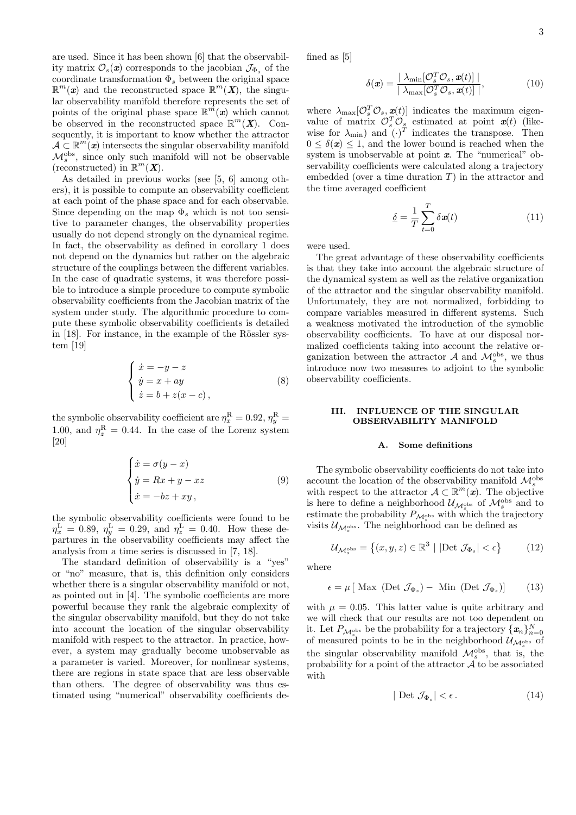are used. Since it has been shown [6] that the observability matrix  $\mathcal{O}_s(\mathbf{x})$  corresponds to the jacobian  $\mathcal{J}_{\Phi_s}$  of the coordinate transformation  $\Phi_s$  between the original space  $\mathbb{R}^m$ (x) and the reconstructed space  $\mathbb{R}^m$ (X), the singular observability manifold therefore represents the set of points of the original phase space  $\mathbb{R}^m(x)$  which cannot be observed in the reconstructed space  $\mathbb{R}^m(X)$ . Consequently, it is important to know whether the attractor  $A \subset \mathbb{R}^m(\mathbf{x})$  intersects the singular observability manifold  $\mathcal{M}_s^{\text{obs}}$ , since only such manifold will not be observable (reconstructed) in  $\mathbb{R}^m$  (**X**).

As detailed in previous works (see [5, 6] among others), it is possible to compute an observability coefficient at each point of the phase space and for each observable. Since depending on the map  $\Phi_s$  which is not too sensitive to parameter changes, the observability properties usually do not depend strongly on the dynamical regime. In fact, the observability as defined in corollary 1 does not depend on the dynamics but rather on the algebraic structure of the couplings between the different variables. In the case of quadratic systems, it was therefore possible to introduce a simple procedure to compute symbolic observability coefficients from the Jacobian matrix of the system under study. The algorithmic procedure to compute these symbolic observability coefficients is detailed in  $[18]$ . For instance, in the example of the Rössler system [19]

$$
\begin{cases}\n\dot{x} = -y - z \\
\dot{y} = x + ay \\
\dot{z} = b + z(x - c),\n\end{cases}
$$
\n(8)

the symbolic observability coefficient are  $\eta_x^{\rm R} = 0.92$ ,  $\eta_y^{\rm R} =$ 1.00, and  $\eta_z^{\rm R} = 0.44$ . In the case of the Lorenz system [20]

$$
\begin{cases}\n\dot{x} = \sigma(y - x) \\
\dot{y} = Rx + y - xz \\
\dot{x} = -bz + xy,\n\end{cases} \tag{9}
$$

the symbolic observability coefficients were found to be  $\eta_x^{\rm L} = 0.89, \eta_y^{\rm L} = 0.29, \text{ and } \eta_z^{\rm L} = 0.40.$  How these departures in the observability coefficients may affect the analysis from a time series is discussed in [7, 18].

The standard definition of observability is a "yes" or "no" measure, that is, this definition only considers whether there is a singular observability manifold or not, as pointed out in [4]. The symbolic coefficients are more powerful because they rank the algebraic complexity of the singular observability manifold, but they do not take into account the location of the singular observability manifold with respect to the attractor. In practice, however, a system may gradually become unobservable as a parameter is varied. Moreover, for nonlinear systems, there are regions in state space that are less observable than others. The degree of observability was thus estimated using "numerical" observability coefficients defined as [5]

$$
\delta(\boldsymbol{x}) = \frac{|\lambda_{\min}[\mathcal{O}_s^T \mathcal{O}_s, \boldsymbol{x}(t)]|}{|\lambda_{\max}[\mathcal{O}_s^T \mathcal{O}_s, \boldsymbol{x}(t)]|},
$$
(10)

where  $\lambda_{\max}[\mathcal{O}_s^T \mathcal{O}_s, \mathbf{x}(t)]$  indicates the maximum eigenvalue of matrix  $\mathcal{O}_s^T \mathcal{O}_s$  estimated at point  $x(t)$  (likewise for  $\lambda_{\min}$  and  $(\cdot)^T$  indicates the transpose. Then  $0 \leq \delta(\mathbf{x}) \leq 1$ , and the lower bound is reached when the system is unobservable at point  $x$ . The "numerical" observability coefficients were calculated along a trajectory embedded (over a time duration  $T$ ) in the attractor and the time averaged coefficient

$$
\underline{\delta} = \frac{1}{T} \sum_{t=0}^{T} \delta \mathbf{x}(t) \tag{11}
$$

were used.

The great advantage of these observability coefficients is that they take into account the algebraic structure of the dynamical system as well as the relative organization of the attractor and the singular observability manifold. Unfortunately, they are not normalized, forbidding to compare variables measured in different systems. Such a weakness motivated the introduction of the symoblic observability coefficients. To have at our disposal normalized coefficients taking into account the relative organization between the attractor  $A$  and  $\mathcal{M}_s^{\text{obs}}$ , we thus introduce now two measures to adjoint to the symbolic observability coefficients.

## III. INFLUENCE OF THE SINGULAR OBSERVABILITY MANIFOLD

#### A. Some definitions

The symbolic observability coefficients do not take into account the location of the observability manifold  $\mathcal{M}_s^{\rm obs}$ with respect to the attractor  $A \subset \mathbb{R}^m(\mathbf{x})$ . The objective is here to define a neighborhood  $\mathcal{U}_{\mathcal{M}^{\rm obs}_s}$  of  $\mathcal{M}^{\rm obs}_s$  and to estimate the probability  $P_{\mathcal{M}^{\text{obs}}_s}$  with which the trajectory visits  $\mathcal{U}_{\mathcal{M}_s^{\text{obs}}}$ . The neighborhood can be defined as

$$
\mathcal{U}_{\mathcal{M}_s^{\text{obs}}} = \left\{ (x, y, z) \in \mathbb{R}^3 \mid |\text{Det } \mathcal{J}_{\Phi_s}| < \epsilon \right\} \tag{12}
$$

where

$$
\epsilon = \mu \left[ \text{ Max (Det } \mathcal{J}_{\Phi_s}) - \text{ Min (Det } \mathcal{J}_{\Phi_s}) \right] \tag{13}
$$

with  $\mu = 0.05$ . This latter value is quite arbitrary and we will check that our results are not too dependent on it. Let  $P_{\mathcal{M}_{s}^{\text{obs}}}$  be the probability for a trajectory  $\{x_n\}_{n=0}^N$ of measured points to be in the neighborhood  $\mathcal{U}_{\mathcal{M}_s^{\text{obs}}}$  of the singular observability manifold  $\mathcal{M}_s^{\text{obs}}$ , that is, the probability for a point of the attractor  $A$  to be associated with

$$
|\text{ Det } \mathcal{J}_{\Phi_s}| < \epsilon. \tag{14}
$$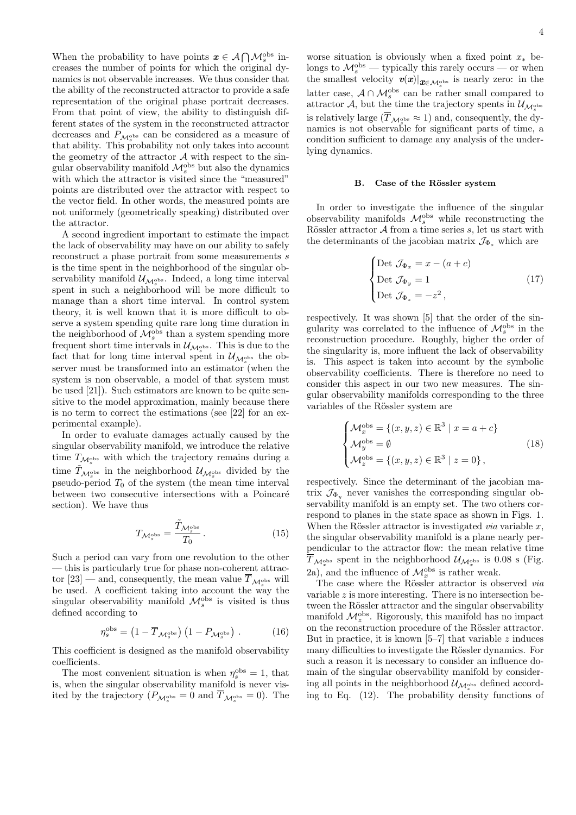When the probability to have points  $\mathbf{x} \in \mathcal{A} \bigcap \mathcal{M}_s^{\text{obs}}$  increases the number of points for which the original dynamics is not observable increases. We thus consider that the ability of the reconstructed attractor to provide a safe representation of the original phase portrait decreases. From that point of view, the ability to distinguish different states of the system in the reconstructed attractor decreases and  $P_{\mathcal{M}^{\text{obs}}_{\alpha}}$  can be considered as a measure of that ability. This probability not only takes into account the geometry of the attractor  $A$  with respect to the singular observability manifold  $\mathcal{M}_s^{\text{obs}}$  but also the dynamics with which the attractor is visited since the "measured" points are distributed over the attractor with respect to the vector field. In other words, the measured points are not uniformely (geometrically speaking) distributed over the attractor.

A second ingredient important to estimate the impact the lack of observability may have on our ability to safely reconstruct a phase portrait from some measurements s is the time spent in the neighborhood of the singular observability manifold  $\mathcal{U}_{\mathcal{M}_s^{\text{obs}}}$ . Indeed, a long time interval spent in such a neighborhood will be more difficult to manage than a short time interval. In control system theory, it is well known that it is more difficult to observe a system spending quite rare long time duration in the neighborhood of  $\mathcal{M}_s^{\text{obs}}$  than a system spending more frequent short time intervals in  $\mathcal{U}_{\mathcal{M}_s^{\text{obs}}}$ . This is due to the fact that for long time interval spent in  $\mathcal{U}_{\mathcal{M}_s^{\text{obs}}}$  the observer must be transformed into an estimator (when the system is non observable, a model of that system must be used [21]). Such estimators are known to be quite sensitive to the model approximation, mainly because there is no term to correct the estimations (see [22] for an experimental example).

In order to evaluate damages actually caused by the singular observability manifold, we introduce the relative time  $T_{\mathcal{M}_s^{\text{obs}}}$  with which the trajectory remains during a time  $\tilde{T}_{\mathcal{M}_s^{\text{obs}}}$  in the neighborhood  $\mathcal{U}_{\mathcal{M}_s^{\text{obs}}}$  divided by the pseudo-period  $T_0$  of the system (the mean time interval between two consecutive intersections with a Poincaré section). We have thus

$$
T_{\mathcal{M}_s^{\text{obs}}} = \frac{\tilde{T}_{\mathcal{M}_s^{\text{obs}}}}{T_0} \,. \tag{15}
$$

Such a period can vary from one revolution to the other — this is particularly true for phase non-coherent attractor [23] — and, consequently, the mean value  $T_{\mathcal{M}^{\text{obs}}_{\gamma}}$  will be used. A coefficient taking into account the way the singular observability manifold  $\mathcal{M}_s^{\text{obs}}$  is visited is thus defined according to

$$
\eta_s^{\text{obs}} = \left(1 - \overline{T}_{\mathcal{M}_s^{\text{obs}}}\right) \left(1 - P_{\mathcal{M}_s^{\text{obs}}}\right) \,. \tag{16}
$$

This coefficient is designed as the manifold observability coefficients.

The most convenient situation is when  $\eta_s^{\text{obs}} = 1$ , that is, when the singular observability manifold is never visited by the trajectory  $(P_{\mathcal{M}_s^{\text{obs}}} = 0 \text{ and } T_{\mathcal{M}_s^{\text{obs}}} = 0)$ . The worse situation is obviously when a fixed point  $x_*$  belongs to  $\mathcal{M}_s^{\text{obs}}$  — typically this rarely occurs — or when the smallest velocity  $\boldsymbol{v}(\boldsymbol{x})|_{\boldsymbol{x} \in \mathcal{M}_s^{\text{obs}}}$  is nearly zero: in the latter case,  $\mathcal{A} \cap \mathcal{M}_s^{\text{obs}}$  can be rather small compared to attractor A, but the time the trajectory spents in  $\mathcal{U}_{\mathcal{M}_s^{\text{obs}}}$ is relatively large  $(T_{\mathcal{M}^{\text{obs}}_{s}} \approx 1)$  and, consequently, the dynamics is not observable for significant parts of time, a condition sufficient to damage any analysis of the underlying dynamics.

#### B. Case of the Rössler system

In order to investigate the influence of the singular observability manifolds  $\mathcal{M}_s^{\text{obs}}$  while reconstructing the Rössler attractor  $A$  from a time series  $s$ , let us start with the determinants of the jacobian matrix  $\mathcal{J}_{\Phi_{s}}$  which are

$$
\begin{cases}\n\text{Det } \mathcal{J}_{\Phi_x} = x - (a + c) \\
\text{Det } \mathcal{J}_{\Phi_y} = 1 \\
\text{Det } \mathcal{J}_{\Phi_z} = -z^2,\n\end{cases}
$$
\n(17)

respectively. It was shown [5] that the order of the singularity was correlated to the influence of  $\mathcal{M}_s^{\text{obs}}$  in the reconstruction procedure. Roughly, higher the order of the singularity is, more influent the lack of observability is. This aspect is taken into account by the symbolic observability coefficients. There is therefore no need to consider this aspect in our two new measures. The singular observability manifolds corresponding to the three variables of the Rössler system are

$$
\begin{cases}\n\mathcal{M}_x^{\text{obs}} = \{(x, y, z) \in \mathbb{R}^3 \mid x = a + c\} \\
\mathcal{M}_y^{\text{obs}} = \emptyset \\
\mathcal{M}_z^{\text{obs}} = \{(x, y, z) \in \mathbb{R}^3 \mid z = 0\},\n\end{cases}
$$
\n(18)

respectively. Since the determinant of the jacobian matrix  $\mathcal{J}_{\Phi_{\nu}}$  never vanishes the corresponding singular observability manifold is an empty set. The two others correspond to planes in the state space as shown in Figs. 1. When the Rössler attractor is investigated *via* variable  $x$ , the singular observability manifold is a plane nearly perpendicular to the attractor flow: the mean relative time  $T_{\mathcal{M}_x^{\text{obs}}}$  spent in the neighborhood  $\mathcal{U}_{\mathcal{M}_x^{\text{obs}}}$  is 0.08 s (Fig. 2a), and the influence of  $\mathcal{M}_x^{\text{obs}}$  is rather weak.

The case where the Rössler attractor is observed via variable  $z$  is more interesting. There is no intersection between the Rössler attractor and the singular observability manifold  $\mathcal{M}_z^{\text{obs}}$ . Rigorously, this manifold has no impact on the reconstruction procedure of the Rössler attractor. But in practice, it is known  $[5-7]$  that variable z induces many difficulties to investigate the Rössler dynamics. For such a reason it is necessary to consider an influence domain of the singular observability manifold by considering all points in the neighborhood  $\mathcal{U}_{\mathcal{M}_2^{\rm obs}}$  defined according to Eq. (12). The probability density functions of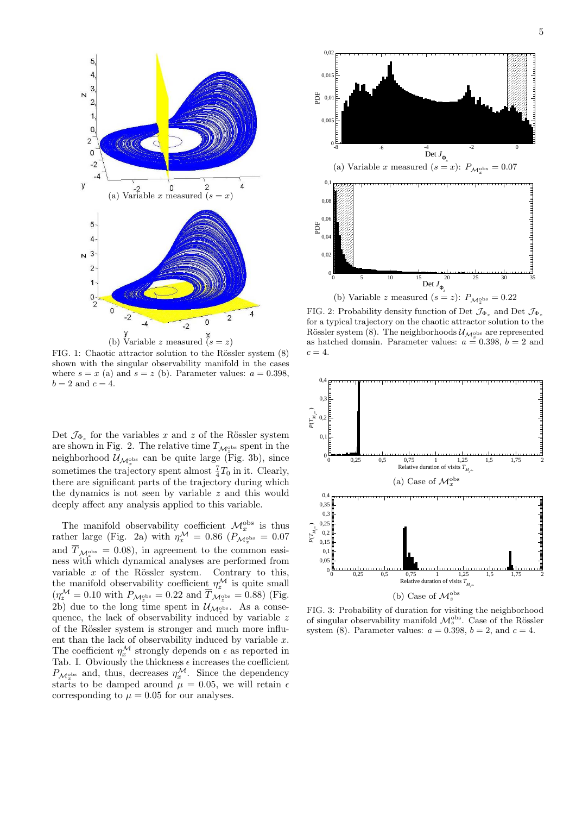

FIG. 1: Chaotic attractor solution to the Rössler system  $(8)$ shown with the singular observability manifold in the cases where  $s = x$  (a) and  $s = z$  (b). Parameter values:  $a = 0.398$ ,  $b=2$  and  $c=4.$ 

Det  $\mathcal{J}_{\Phi_s}$  for the variables x and z of the Rössler system are shown in Fig. 2. The relative time  $T_{\mathcal{M}_2^{\text{obs}}}$  spent in the neighborhood  $\mathcal{U}_{\mathcal{M}^{\text{obs}}_{x}}$  can be quite large (Fig. 3b), since sometimes the trajectory spent almost  $\frac{7}{4}T_0$  in it. Clearly, there are significant parts of the trajectory during which the dynamics is not seen by variable z and this would deeply affect any analysis applied to this variable.

The manifold observability coefficient  $\mathcal{M}_x^{\text{obs}}$  is thus rather large (Fig. 2a) with  $\eta_x^{\mathcal{M}} = 0.86$  ( $P_{\mathcal{M}_x^{\text{obs}}} = 0.07$ and  $T_{\mathcal{M}_{x}^{\text{obs}}} = 0.08$ , in agreement to the common easiness with which dynamical analyses are performed from variable  $x$  of the Rössler system. Contrary to this, the manifold observability coefficient  $\eta_z^{\mathcal{M}}$  is quite small  $(\eta_z^{\mathcal{M}} = 0.10 \text{ with } P_{\mathcal{M}_z^{\text{obs}}} = 0.22 \text{ and } \overline{T}_{\mathcal{M}_z^{\text{obs}}} = 0.88) \text{ (Fig. }$ 2b) due to the long time spent in  $\mathcal{U}_{\mathcal{M}^{\text{obs}}_{z}}$ . As a consequence, the lack of observability induced by variable z of the Rössler system is stronger and much more influent than the lack of observability induced by variable  $x$ . The coefficient  $\eta_x^{\mathcal{M}}$  strongly depends on  $\epsilon$  as reported in Tab. I. Obviously the thickness  $\epsilon$  increases the coefficient  $P_{\mathcal{M}_x^{\text{obs}}}$  and, thus, decreases  $\eta_x^{\mathcal{M}}$ . Since the dependency starts to be damped around  $\mu = 0.05$ , we will retain  $\epsilon$ corresponding to  $\mu = 0.05$  for our analyses.



FIG. 2: Probability density function of Det  $\mathcal{J}_{\Phi_x}$  and Det  $\mathcal{J}_{\Phi_z}$ for a typical trajectory on the chaotic attractor solution to the Rössler system (8). The neighborhoods  $\mathcal{U}_{\mathcal{M}^{\text{obs}}_{s}}$  are represented as hatched domain. Parameter values:  $a = 0.398$ ,  $b = 2$  and  $c=4.$ 



FIG. 3: Probability of duration for visiting the neighborhood of singular observability manifold  $\mathcal{M}_s^{\text{obs}}$ . Case of the Rössler system (8). Parameter values:  $a = 0.398$ ,  $b = 2$ , and  $c = 4$ .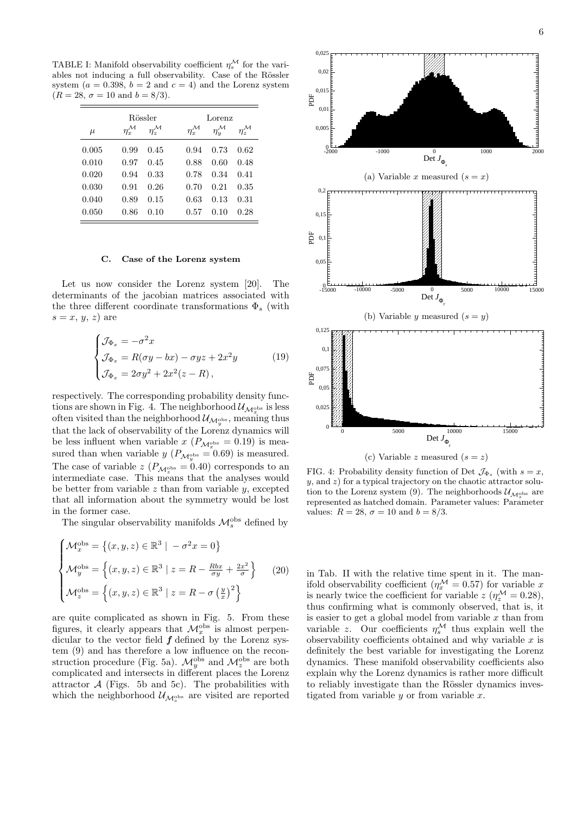TABLE I: Manifold observability coefficient  $\eta_s^{\mathcal{M}}$  for the variables not inducing a full observability. Case of the Rössler system ( $a = 0.398$ ,  $b = 2$  and  $c = 4$ ) and the Lorenz system  $(R = 28, \sigma = 10 \text{ and } b = 8/3).$ 

|       | Rössler                |                        |                        | Lorenz            |                        |  |
|-------|------------------------|------------------------|------------------------|-------------------|------------------------|--|
| $\mu$ | $\eta_x^{\mathcal{M}}$ | $\eta_z^{\mathcal{M}}$ | $\eta_x^{\mathcal{M}}$ | $\eta_u^{\cal M}$ | $\eta_z^{\mathcal{M}}$ |  |
| 0.005 | 0.99                   | 0.45                   | 0.94                   | 0.73              | 0.62                   |  |
| 0.010 | 0.97                   | 0.45                   | 0.88                   | 0.60              | 0.48                   |  |
| 0.020 | 0.94                   | 0.33                   | 0.78                   | 0.34              | 0.41                   |  |
| 0.030 | 0.91                   | 0.26                   | 0.70                   | 0.21              | 0.35                   |  |
| 0.040 | 0.89                   | 0.15                   | 0.63                   | 0.13              | 0.31                   |  |
| 0.050 | 0.86                   | 0.10                   | 0.57                   | 0.10              | 0.28                   |  |

#### C. Case of the Lorenz system

Let us now consider the Lorenz system [20]. The determinants of the jacobian matrices associated with the three different coordinate transformations  $\Phi_s$  (with  $s = x, y, z$  are

$$
\begin{cases}\n\mathcal{J}_{\Phi_x} = -\sigma^2 x \\
\mathcal{J}_{\Phi_x} = R(\sigma y - bx) - \sigma y z + 2x^2 y \\
\mathcal{J}_{\Phi_x} = 2\sigma y^2 + 2x^2 (z - R),\n\end{cases}
$$
\n(19)

respectively. The corresponding probability density functions are shown in Fig. 4. The neighborhood  $\mathcal{U}_{\mathcal{M}\circledcirc}$  is less often visited than the neighborhood  $\mathcal{U}_{\mathcal{M}_{\Psi}^{\text{obs}}}$ , meaning thus that the lack of observability of the Lorenz dynamics will be less influent when variable  $x(P_{\mathcal{M}^{\text{obs}}_{\infty}} = 0.19)$  is measured than when variable  $y(P_{\mathcal{M}_y^{\text{obs}}} = 0.69)$  is measured. The case of variable  $z(P_{\mathcal{M}_z^{\text{obs}}} = 0.40)$  corresponds to an intermediate case. This means that the analyses would be better from variable  $z$  than from variable  $y$ , excepted that all information about the symmetry would be lost in the former case.

The singular observability manifolds  $\mathcal{M}_s^{\text{obs}}$  defined by

$$
\begin{cases}\n\mathcal{M}_x^{\text{obs}} = \left\{ (x, y, z) \in \mathbb{R}^3 \mid -\sigma^2 x = 0 \right\} \\
\mathcal{M}_y^{\text{obs}} = \left\{ (x, y, z) \in \mathbb{R}^3 \mid z = R - \frac{Rbx}{\sigma y} + \frac{2x^2}{\sigma} \right\} \quad (20) \\
\mathcal{M}_z^{\text{obs}} = \left\{ (x, y, z) \in \mathbb{R}^3 \mid z = R - \sigma \left( \frac{y}{x} \right)^2 \right\}\n\end{cases}
$$

are quite complicated as shown in Fig. 5. From these figures, it clearly appears that  $\mathcal{M}_x^{\text{obs}}$  is almost perpendicular to the vector field  $f$  defined by the Lorenz system (9) and has therefore a low influence on the reconstruction procedure (Fig. 5a).  $\mathcal{M}_y^{\text{obs}}$  and  $\mathcal{M}_z^{\text{obs}}$  are both complicated and intersects in different places the Lorenz attractor  $A$  (Figs. 5b and 5c). The probabilities with which the neighborhood  $\mathcal{U}_{\mathcal{M}_s^{\text{obs}}}$  are visited are reported



FIG. 4: Probability density function of Det  $\mathcal{J}_{\Phi_s}$  (with  $s=x$ ,  $y$ , and  $z$ ) for a typical trajectory on the chaotic attractor solution to the Lorenz system (9). The neighborhoods  $\mathcal{U}_{\mathcal{M}^{\text{obs}}_{\text{p}}}\xspace$  are s represented as hatched domain. Parameter values: Parameter values:  $R = 28$ ,  $\sigma = 10$  and  $b = 8/3$ .

in Tab. II with the relative time spent in it. The manifold observability coefficient ( $\eta_x^{\mathcal{M}} = 0.57$ ) for variable x is nearly twice the coefficient for variable  $z (\eta_z^{\mathcal{M}} = 0.28)$ , thus confirming what is commonly observed, that is, it is easier to get a global model from variable  $x$  than from variable z. Our coefficients  $\eta_s^{\mathcal{M}}$  thus explain well the observability coefficients obtained and why variable  $x$  is definitely the best variable for investigating the Lorenz dynamics. These manifold observability coefficients also explain why the Lorenz dynamics is rather more difficult to reliably investigate than the Rössler dynamics investigated from variable  $y$  or from variable  $x$ .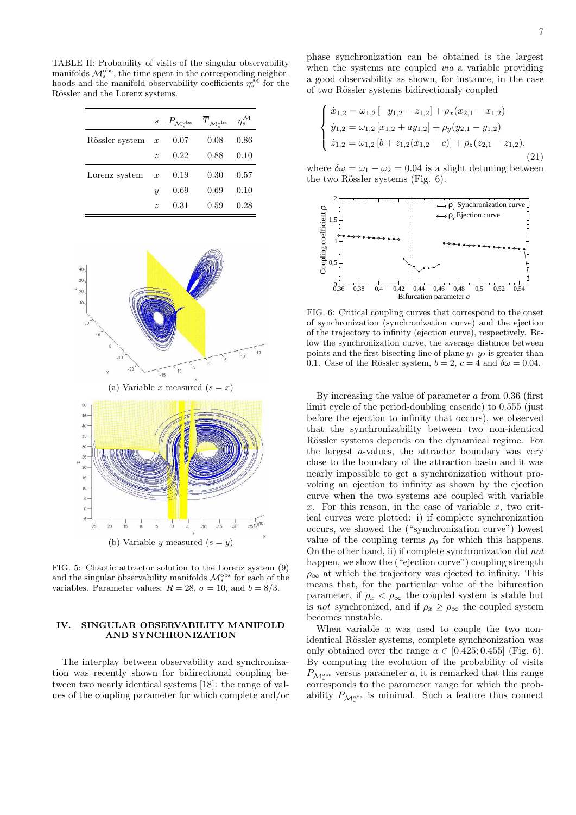TABLE II: Probability of visits of the singular observability manifolds  $\mathcal{M}_s^{\text{obs}}$ , the time spent in the corresponding neighorhoods and the manifold observability coefficients  $\eta_s^{\mathcal{M}}$  for the Rössler and the Lorenz systems.

|                |                  | $s$ $P_{\mathcal{M}_s^{\text{obs}}}$ $\overline{T}_{\mathcal{M}_s^{\text{obs}}}$ |      | $\eta_s^{\mathcal{M}}$ |
|----------------|------------------|----------------------------------------------------------------------------------|------|------------------------|
| Rössler system | $\boldsymbol{x}$ | 0.07                                                                             | 0.08 | 0.86                   |
|                | $\tilde{z}$      | 0.22                                                                             | 0.88 | 0.10                   |
| Lorenz system  | $\boldsymbol{x}$ | 0.19                                                                             | 0.30 | 0.57                   |
|                | $\boldsymbol{u}$ | 0.69                                                                             | 0.69 | 0.10                   |
|                | $\tilde{z}$      | 0.31                                                                             | 0.59 | 0.28                   |



FIG. 5: Chaotic attractor solution to the Lorenz system (9) and the singular observability manifolds  $\mathcal{M}_s^{\text{obs}}$  for each of the variables. Parameter values:  $R = 28$ ,  $\sigma = 10$ , and  $b = 8/3$ .

## IV. SINGULAR OBSERVABILITY MANIFOLD AND SYNCHRONIZATION

The interplay between observability and synchronization was recently shown for bidirectional coupling between two nearly identical systems [18]: the range of values of the coupling parameter for which complete and/or phase synchronization can be obtained is the largest when the systems are coupled *via* a variable providing a good observability as shown, for instance, in the case of two Rössler systems bidirectionaly coupled

$$
\begin{cases}\n\dot{x}_{1,2} = \omega_{1,2} \left[ -y_{1,2} - z_{1,2} \right] + \rho_x (x_{2,1} - x_{1,2}) \\
\dot{y}_{1,2} = \omega_{1,2} \left[ x_{1,2} + ay_{1,2} \right] + \rho_y (y_{2,1} - y_{1,2}) \\
\dot{z}_{1,2} = \omega_{1,2} \left[ b + z_{1,2} (x_{1,2} - c) \right] + \rho_z (z_{2,1} - z_{1,2}),\n\end{cases}
$$
\n(21)

where  $\delta \omega = \omega_1 - \omega_2 = 0.04$  is a slight detuning between the two Rössler systems (Fig.  $6$ ).



FIG. 6: Critical coupling curves that correspond to the onset of synchronization (synchronization curve) and the ejection of the trajectory to infinity (ejection curve), respectively. Below the synchronization curve, the average distance between points and the first bisecting line of plane  $y_1-y_2$  is greater than 0.1. Case of the Rössler system,  $b = 2$ ,  $c = 4$  and  $\delta \omega = 0.04$ .

By increasing the value of parameter  $a$  from 0.36 (first limit cycle of the period-doubling cascade) to 0.555 (just before the ejection to infinity that occurs), we observed that the synchronizability between two non-identical Rössler systems depends on the dynamical regime. For the largest a-values, the attractor boundary was very close to the boundary of the attraction basin and it was nearly impossible to get a synchronization without provoking an ejection to infinity as shown by the ejection curve when the two systems are coupled with variable x. For this reason, in the case of variable x, two critical curves were plotted: i) if complete synchronization occurs, we showed the ("synchronization curve") lowest value of the coupling terms  $\rho_0$  for which this happens. On the other hand, ii) if complete synchronization did not happen, we show the ("ejection curve") coupling strength  $\rho_{\infty}$  at which the trajectory was ejected to infinity. This means that, for the particular value of the bifurcation parameter, if  $\rho_x < \rho_\infty$  the coupled system is stable but is not synchronized, and if  $\rho_x \geq \rho_\infty$  the coupled system becomes unstable.

When variable  $x$  was used to couple the two nonidentical Rössler systems, complete synchronization was only obtained over the range  $a \in [0.425; 0.455]$  (Fig. 6). By computing the evolution of the probability of visits  $P_{\mathcal{M}_a^{\text{obs}}}$  versus parameter a, it is remarked that this range x corresponds to the parameter range for which the probability  $P_{\mathcal{M}_x^{\text{obs}}}$  is minimal. Such a feature thus connect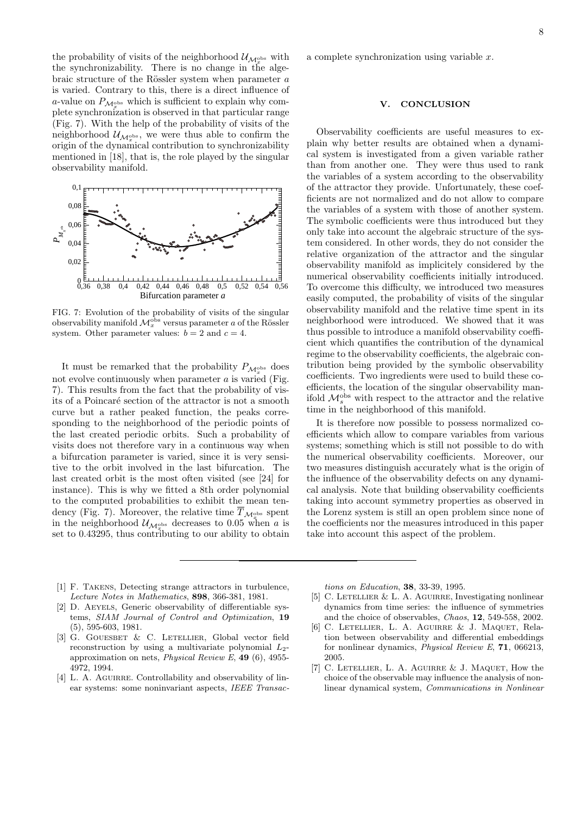the probability of visits of the neighborhood  $\mathcal{U}_{\mathcal{M}_x^{\text{obs}}}$  with the synchronizability. There is no change in the algebraic structure of the Rössler system when parameter  $a$ is varied. Contrary to this, there is a direct influence of a-value on  $P_{\mathcal{M}_{\infty}^{\text{obs}}}$  which is sufficient to explain why complete synchronization is observed in that particular range  $(Fig. 7)$ . With the help of the probability of visits of the neighborhood  $\mathcal{U}_{\mathcal{M}^{\text{obs}}_{x}}$ , we were thus able to confirm the origin of the dynamical contribution to synchronizability mentioned in [18], that is, the role played by the singular observability manifold.



FIG. 7: Evolution of the probability of visits of the singular observability manifold  $\mathcal{M}_x^{\text{obs}}$  versus parameter a of the Rössler system. Other parameter values:  $b = 2$  and  $c = 4$ .

It must be remarked that the probability  $P_{\mathcal{M}_x^{\text{obs}}}$  does not evolve continuously when parameter  $a$  is varied (Fig. 7). This results from the fact that the probability of visits of a Poincaré section of the attractor is not a smooth curve but a rather peaked function, the peaks corresponding to the neighborhood of the periodic points of the last created periodic orbits. Such a probability of visits does not therefore vary in a continuous way when a bifurcation parameter is varied, since it is very sensitive to the orbit involved in the last bifurcation. The last created orbit is the most often visited (see [24] for instance). This is why we fitted a 8th order polynomial to the computed probabilities to exhibit the mean tendency (Fig. 7). Moreover, the relative time  $T_{\mathcal{M}_x^{\text{obs}}}$  spent in the neighborhood  $\mathcal{U}_{\mathcal{M}^{\text{obs}}_{\infty}}$  decreases to 0.05 when a is set to 0.43295, thus contributing to our ability to obtain

a complete synchronization using variable x.

### V. CONCLUSION

Observability coefficients are useful measures to explain why better results are obtained when a dynamical system is investigated from a given variable rather than from another one. They were thus used to rank the variables of a system according to the observability of the attractor they provide. Unfortunately, these coefficients are not normalized and do not allow to compare the variables of a system with those of another system. The symbolic coefficients were thus introduced but they only take into account the algebraic structure of the system considered. In other words, they do not consider the relative organization of the attractor and the singular observability manifold as implicitely considered by the numerical observability coefficients initially introduced. To overcome this difficulty, we introduced two measures easily computed, the probability of visits of the singular observability manifold and the relative time spent in its neighborhood were introduced. We showed that it was thus possible to introduce a manifold observability coefficient which quantifies the contribution of the dynamical regime to the observability coefficients, the algebraic contribution being provided by the symbolic observability coefficients. Two ingredients were used to build these coefficients, the location of the singular observability manifold  $\mathcal{M}_s^{\text{obs}}$  with respect to the attractor and the relative time in the neighborhood of this manifold.

It is therefore now possible to possess normalized coefficients which allow to compare variables from various systems; something which is still not possible to do with the numerical observability coefficients. Moreover, our two measures distinguish accurately what is the origin of the influence of the observability defects on any dynamical analysis. Note that building observability coefficients taking into account symmetry properties as observed in the Lorenz system is still an open problem since none of the coefficients nor the measures introduced in this paper take into account this aspect of the problem.

- [1] F. Takens, Detecting strange attractors in turbulence, Lecture Notes in Mathematics, 898, 366-381, 1981.
- [2] D. AEYELS, Generic observability of differentiable systems, SIAM Journal of Control and Optimization, 19 (5), 595-603, 1981.
- [3] G. GOUESBET & C. LETELLIER, Global vector field reconstruction by using a multivariate polynomial  $L_2$ approximation on nets, Physical Review E, 49 (6), 4955- 4972, 1994.
- [4] L. A. AGUIRRE. Controllability and observability of linear systems: some noninvariant aspects, IEEE Transac-

tions on Education, 38, 33-39, 1995.

- [5] C. LETELLIER  $& L. A.$  AGUIRRE, Investigating nonlinear dynamics from time series: the influence of symmetries and the choice of observables, Chaos, 12, 549-558, 2002.
- [6] C. Letellier, L. A. Aguirre & J. Maquet, Relation between observability and differential embeddings for nonlinear dynamics, Physical Review E, 71, 066213, 2005.
- [7] C. LETELLIER, L. A. AGUIRRE & J. MAQUET, How the choice of the observable may influence the analysis of nonlinear dynamical system, Communications in Nonlinear